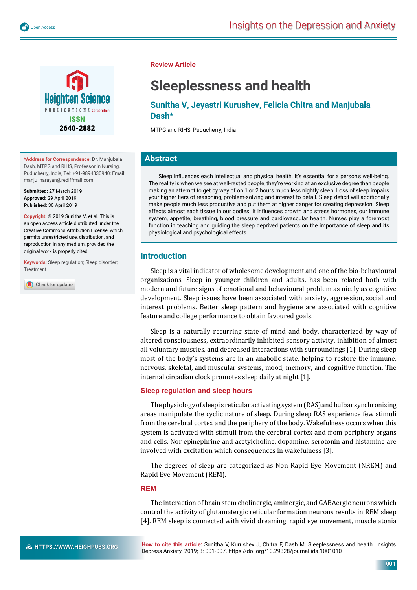

**\*Address for Correspondence:** Dr. Manjubala Dash, MTPG and RIHS, Professor in Nursing, Puducherry, India, Tel: +91-9894330940; Email: manju\_narayan@rediffmail.com

**Submitted:** 27 March 2019 **Approved:** 29 April 2019 **Published:** 30 April 2019

**Copyright: ©** 2019 Sunitha V, et al. This is an open access article distributed under the Creative Commons Attribution License, which permits unrestricted use, distribution, and reproduction in any medium, provided the original work is properly cited

**Keywords:** Sleep regulation; Sleep disorder; Treatment

Check for updates

**Review Article**

# **Sleeplessness and health**

**Sunitha V, Jeyastri Kurushev, Felicia Chitra and Manjubala Dash\*** 

MTPG and RIHS, Puducherry, India

# **Abstract**

Sleep influences each intellectual and physical health. It's essential for a person's well-being. The reality is when we see at well-rested people, they're working at an exclusive degree than people making an attempt to get by way of on 1 or 2 hours much less nightly sleep. Loss of sleep impairs your higher tiers of reasoning, problem-solving and interest to detail. Sleep deficit will additionally make people much less productive and put them at higher danger for creating depression. Sleep affects almost each tissue in our bodies. It influences growth and stress hormones, our immune system, appetite, breathing, blood pressure and cardiovascular health. Nurses play a foremost function in teaching and guiding the sleep deprived patients on the importance of sleep and its physiological and psychological effects.

# **Introduction**

Sleep is a vital indicator of wholesome development and one of the bio-behavioural organizations. Sleep in younger children and adults, has been related both with modern and future signs of emotional and behavioural problem as nicely as cognitive development. Sleep issues have been associated with anxiety, aggression, social and interest problems. Better sleep pattern and hygiene are associated with cognitive feature and college performance to obtain favoured goals.

Sleep is a naturally recurring state of mind and body, characterized by way of altered consciousness, extraordinarily inhibited sensory activity, inhibition of almost all voluntary muscles, and decreased interactions with surroundings [1]. During sleep most of the body's systems are in an anabolic state, helping to restore the immune, nervous, skeletal, and muscular systems, mood, memory, and cognitive function. The internal circadian clock promotes sleep daily at night [1].

## **Sleep regulation and sleep hours**

The physiology of sleep is reticular activating system (RAS) and bulbar synchronizing areas manipulate the cyclic nature of sleep. During sleep RAS experience few stimuli from the cerebral cortex and the periphery of the body. Wakefulness occurs when this system is activated with stimuli from the cerebral cortex and from periphery organs and cells. Nor epinephrine and acetylcholine, dopamine, serotonin and histamine are involved with excitation which consequences in wakefulness [3].

The degrees of sleep are categorized as Non Rapid Eye Movement (NREM) and Rapid Eye Movement (REM).

## **REM**

The interaction of brain stem cholinergic, aminergic, and GABAergic neurons which control the activity of glutamatergic reticular formation neurons results in REM sleep [4]. REM sleep is connected with vivid dreaming, rapid eye movement, muscle atonia

**How to cite this article:** Sunitha V, Kurushev J, Chitra F, Dash M. Sleeplessness and health. Insights Depress Anxiety. 2019; 3: 001-007. https://doi.org/10.29328/journal.ida.1001010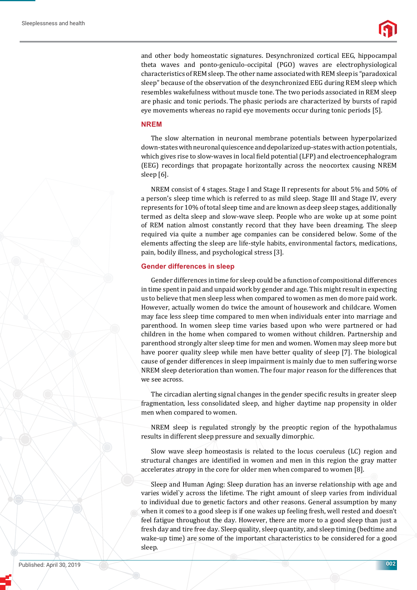

and other body homeostatic signatures. Desynchronized cortical EEG, hippocampal theta waves and ponto-geniculo-occipital (PGO) waves are electrophysiological characteristics of REM sleep. The other name associated with REM sleep is "paradoxical sleep" because of the observation of the desynchronized EEG during REM sleep which resembles wakefulness without muscle tone. The two periods associated in REM sleep are phasic and tonic periods. The phasic periods are characterized by bursts of rapid eye movements whereas no rapid eye movements occur during tonic periods [5].

#### **NREM**

The slow alternation in neuronal membrane potentials between hyperpolarized down-states with neuronal quiescence and depolarized up-states with action potentials, which gives rise to slow-waves in local field potential (LFP) and electroencephalogram (EEG) recordings that propagate horizontally across the neocortex causing NREM sleep [6].

NREM consist of 4 stages. Stage I and Stage II represents for about 5% and 50% of a person's sleep time which is referred to as mild sleep. Stage III and Stage IV, every represents for 10% of total sleep time and are known as deep sleep stages, additionally termed as delta sleep and slow-wave sleep. People who are woke up at some point of REM nation almost constantly record that they have been dreaming. The sleep required via quite a number age companies can be considered below. Some of the elements affecting the sleep are life-style habits, environmental factors, medications, pain, bodily illness, and psychological stress [3].

#### **Gender differences in sleep**

Gender differences in time for sleep could be a function of compositional differences in time spent in paid and unpaid work by gender and age. This might result in expecting us to believe that men sleep less when compared to women as men do more paid work. However, actually women do twice the amount of housework and childcare. Women may face less sleep time compared to men when individuals enter into marriage and parenthood. In women sleep time varies based upon who were partnered or had children in the home when compared to women without children. Partnership and parenthood strongly alter sleep time for men and women. Women may sleep more but have poorer quality sleep while men have better quality of sleep [7]. The biological cause of gender differences in sleep impairment is mainly due to men suffering worse NREM sleep deterioration than women. The four major reason for the differences that we see across.

The circadian alerting signal changes in the gender specific results in greater sleep fragmentation, less consolidated sleep, and higher daytime nap propensity in older men when compared to women.

NREM sleep is regulated strongly by the preoptic region of the hypothalamus results in different sleep pressure and sexually dimorphic.

Slow wave sleep homeostasis is related to the locus coeruleus (LC) region and structural changes are identified in women and men in this region the gray matter accelerates atropy in the core for older men when compared to women [8].

Sleep and Human Aging: Sleep duration has an inverse relationship with age and varies widel`y across the lifetime. The right amount of sleep varies from individual to individual due to genetic factors and other reasons. General assumption by many when it comes to a good sleep is if one wakes up feeling fresh, well rested and doesn't feel fatigue throughout the day. However, there are more to a good sleep than just a fresh day and tire free day. Sleep quality, sleep quantity, and sleep timing (bedtime and wake-up time) are some of the important characteristics to be considered for a good sleep.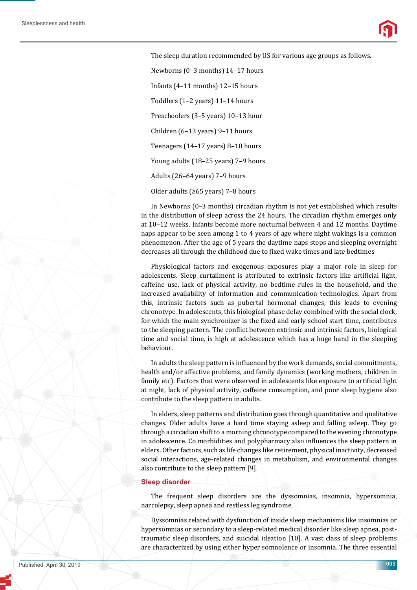The sleep duration recommended by US for various age groups as follows. Newborns (0–3 months) 14–17 hours Infants (4–11 months) 12–15 hours Toddlers (1–2 years) 11–14 hours Preschoolers (3–5 years) 10–13 hour Children (6–13 years) 9–11 hours Teenagers (14–17 years) 8–10 hours Young adults (18–25 years) 7–9 hours Adults (26–64 years) 7–9 hours Older adults (≥65 years) 7–8 hours

In Newborns (0–3 months) circadian rhythm is not yet established which results in the distribution of sleep across the 24 hours. The circadian rhythm emerges only at 10–12 weeks. Infants become more nocturnal between 4 and 12 months. Daytime naps appear to be seen among 1 to 4 years of age where night wakings is a common phenomenon. After the age of 5 years the daytime naps stops and sleeping overnight decreases all through the childhood due to fixed wake times and late bedtimes

Physiological factors and exogenous exposures play a major role in sleep for adolescents. Sleep curtailment is attributed to extrinsic factors like artificial light, caffeine use, lack of physical activity, no bedtime rules in the household, and the increased availability of information and communication technologies. Apart from this, intrinsic factors such as pubertal hormonal changes, this leads to evening chronotype. In adolescents, this biological phase delay combined with the social clock, for which the main synchronizer is the fixed and early school start time, contributes to the sleeping pattern. The conflict between extrinsic and intrinsic factors, biological time and social time, is high at adolescence which has a huge hand in the sleeping behaviour.

In adults the sleep pattern is influenced by the work demands, social commitments, health and/or affective problems, and family dynamics (working mothers, children in family etc). Factors that were observed in adolescents like exposure to artificial light at night, lack of physical activity, caffeine consumption, and poor sleep hygiene also contribute to the sleep pattern in adults.

In elders, sleep patterns and distribution goes through quantitative and qualitative changes. Older adults have a hard time staying asleep and falling asleep. They go through a circadian shift to a morning chronotype compared to the evening chronotype in adolescence. Co morbidities and polypharmacy also influences the sleep pattern in elders. Other factors, such as life changes like retirement, physical inactivity, decreased social interactions, age-related changes in metabolism, and environmental changes also contribute to the sleep pattern [9].

## **Sleep disorder**

The frequent sleep disorders are the dyssomnias, insomnia, hypersomnia, narcolepsy, sleep apnea and restless leg syndrome.

Dyssomnias related with dysfunction of inside sleep mechanisms like insomnias or hypersomnias or secondary to a sleep-related medical disorder like sleep apnea, posttraumatic sleep disorders, and suicidal ideation [10]. A vast class of sleep problems are characterized by using either hyper somnolence or insomnia. The three essential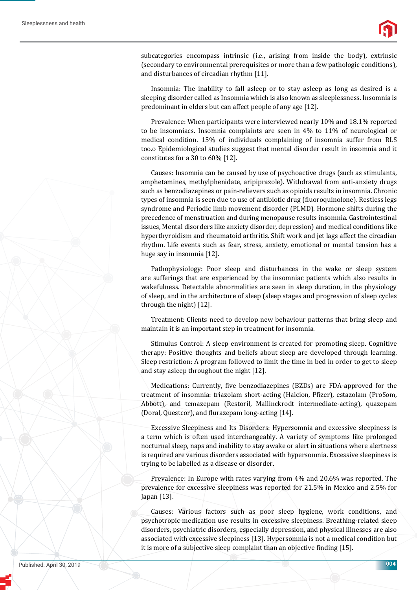

subcategories encompass intrinsic (i.e., arising from inside the body), extrinsic (secondary to environmental prerequisites or more than a few pathologic conditions), and disturbances of circadian rhythm [11].

Insomnia: The inability to fall asleep or to stay asleep as long as desired is a sleeping disorder called as Insomnia which is also known as sleeplessness. Insomnia is predominant in elders but can affect people of any age [12].

Prevalence: When participants were interviewed nearly 10% and 18.1% reported to be insomniacs. Insomnia complaints are seen in 4% to 11% of neurological or medical condition. 15% of individuals complaining of insomnia suffer from RLS too.o Epidemiological studies suggest that mental disorder result in insomnia and it constitutes for a 30 to 60% [12].

Causes: Insomnia can be caused by use of psychoactive drugs (such as stimulants, amphetamines, methylphenidate, aripiprazole). Withdrawal from anti-anxiety drugs such as benzodiazepines or pain-relievers such as opioids results in insomnia. Chronic types of insomnia is seen due to use of antibiotic drug (fluoroquinolone). Restless legs syndrome and Periodic limb movement disorder (PLMD). Hormone shifts during the precedence of menstruation and during menopause results insomnia. Gastrointestinal issues, Mental disorders like anxiety disorder, depression) and medical conditions like hyperthyroidism and rheumatoid arthritis. Shift work and jet lags affect the circadian rhythm. Life events such as fear, stress, anxiety, emotional or mental tension has a huge say in insomnia [12].

Pathophysiology: Poor sleep and disturbances in the wake or sleep system are sufferings that are experienced by the insomniac patients which also results in wakefulness. Detectable abnormalities are seen in sleep duration, in the physiology of sleep, and in the architecture of sleep (sleep stages and progression of sleep cycles through the night) [12].

Treatment: Clients need to develop new behaviour patterns that bring sleep and maintain it is an important step in treatment for insomnia.

Stimulus Control: A sleep environment is created for promoting sleep. Cognitive therapy: Positive thoughts and beliefs about sleep are developed through learning. Sleep restriction: A program followed to limit the time in bed in order to get to sleep and stay asleep throughout the night [12].

Medications: Currently, five benzodiazepines (BZDs) are FDA-approved for the treatment of insomnia: triazolam short-acting (Halcion, Pfizer), estazolam (ProSom, Abbott), and temazepam (Restoril, Mallinckrodt intermediate-acting), quazepam (Doral, Questcor), and flurazepam long-acting [14].

Excessive Sleepiness and Its Disorders: Hypersomnia and excessive sleepiness is a term which is often used interchangeably. A variety of symptoms like prolonged nocturnal sleep, naps and inability to stay awake or alert in situations where alertness is required are various disorders associated with hypersomnia. Excessive sleepiness is trying to be labelled as a disease or disorder.

Prevalence: In Europe with rates varying from 4% and 20.6% was reported. The prevalence for excessive sleepiness was reported for 21.5% in Mexico and 2.5% for Japan [13].

Causes: Various factors such as poor sleep hygiene, work conditions, and psychotropic medication use results in excessive sleepiness. Breathing-related sleep disorders, psychiatric disorders, especially depression, and physical illnesses are also associated with excessive sleepiness [13]. Hypersomnia is not a medical condition but it is more of a subjective sleep complaint than an objective finding [15].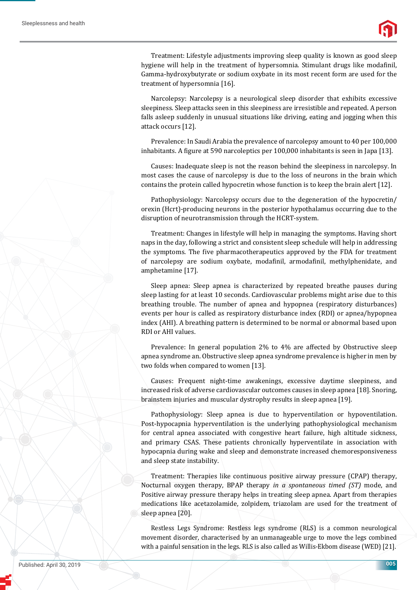



Treatment: Lifestyle adjustments improving sleep quality is known as good sleep hygiene will help in the treatment of hypersomnia. Stimulant drugs like modafinil, Gamma-hydroxybutyrate or sodium oxybate in its most recent form are used for the treatment of hypersomnia [16].

Narcolepsy: Narcolepsy is a neurological sleep disorder that exhibits excessive sleepiness. Sleep attacks seen in this sleepiness are irresistible and repeated. A person falls asleep suddenly in unusual situations like driving, eating and jogging when this attack occurs [12].

Prevalence: In Saudi Arabia the prevalence of narcolepsy amount to 40 per 100,000 inhabitants. A figure at 590 narcoleptics per 100,000 inhabitants is seen in Japa [13].

Causes: Inadequate sleep is not the reason behind the sleepiness in narcolepsy. In most cases the cause of narcolepsy is due to the loss of neurons in the brain which contains the protein called hypocretin whose function is to keep the brain alert [12].

Pathophysiology: Narcolepsy occurs due to the degeneration of the hypocretin/ orexin (Hcrt)-producing neurons in the posterior hypothalamus occurring due to the disruption of neurotransmission through the HCRT-system.

Treatment: Changes in lifestyle will help in managing the symptoms. Having short naps in the day, following a strict and consistent sleep schedule will help in addressing the symptoms. The five pharmacotherapeutics approved by the FDA for treatment of narcolepsy are sodium oxybate, modafinil, armodafinil, methylphenidate, and amphetamine [17].

Sleep apnea: Sleep apnea is characterized by repeated breathe pauses during sleep lasting for at least 10 seconds. Cardiovascular problems might arise due to this breathing trouble. The number of apnea and hypopnea (respiratory disturbances) events per hour is called as respiratory disturbance index (RDI) or apnea/hypopnea index (AHI). A breathing pattern is determined to be normal or abnormal based upon RDI or AHI values.

Prevalence: In general population 2% to 4% are affected by Obstructive sleep apnea syndrome an. Obstructive sleep apnea syndrome prevalence is higher in men by two folds when compared to women [13].

Causes: Frequent night-time awakenings, excessive daytime sleepiness, and increased risk of adverse cardiovascular outcomes causes in sleep apnea [18]. Snoring, brainstem injuries and muscular dystrophy results in sleep apnea [19].

Pathophysiology: Sleep apnea is due to hyperventilation or hypoventilation. Post-hypocapnia hyperventilation is the underlying pathophysiological mechanism for central apnea associated with congestive heart failure, high altitude sickness, and primary CSAS. These patients chronically hyperventilate in association with hypocapnia during wake and sleep and demonstrate increased chemoresponsiveness and sleep state instability.

Treatment: Therapies like continuous positive airway pressure (CPAP) therapy, Nocturnal oxygen therapy, BPAP therapy *in a spontaneous timed (ST)* mode, and Positive airway pressure therapy helps in treating sleep apnea. Apart from therapies medications like acetazolamide, zolpidem, triazolam are used for the treatment of sleep apnea [20].

Restless Legs Syndrome: Restless legs syndrome (RLS) is a common neurological movement disorder, characterised by an unmanageable urge to move the legs combined with a painful sensation in the legs. RLS is also called as Willis-Ekbom disease (WED) [21].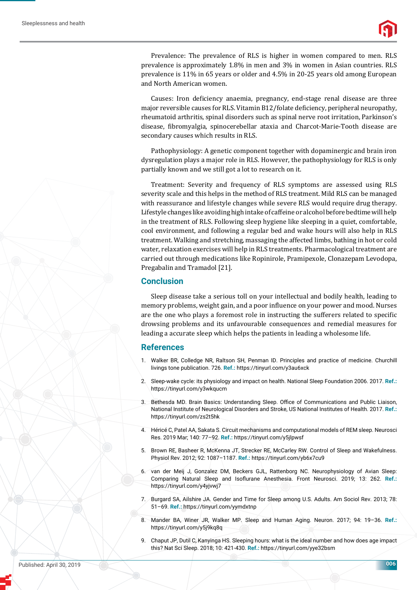Prevalence: The prevalence of RLS is higher in women compared to men. RLS prevalence is approximately 1.8% in men and 3% in women in Asian countries. RLS prevalence is 11% in 65 years or older and 4.5% in 20-25 years old among European and North American women.

Causes: Iron deficiency anaemia, pregnancy, end-stage renal disease are three major reversible causes for RLS. Vitamin B12/folate deficiency, peripheral neuropathy, rheumatoid arthritis, spinal disorders such as spinal nerve root irritation, Parkinson's disease, fibromyalgia, spinocerebellar ataxia and Charcot-Marie-Tooth disease are secondary causes which results in RLS.

Pathophysiology: A genetic component together with dopaminergic and brain iron dysregulation plays a major role in RLS. However, the pathophysiology for RLS is only partially known and we still got a lot to research on it.

Treatment: Severity and frequency of RLS symptoms are assessed using RLS severity scale and this helps in the method of RLS treatment. Mild RLS can be managed with reassurance and lifestyle changes while severe RLS would require drug therapy. Lifestyle changes like avoiding high intake of caffeine or alcohol before bedtime will help in the treatment of RLS. Following sleep hygiene like sleeping in a quiet, comfortable, cool environment, and following a regular bed and wake hours will also help in RLS treatment. Walking and stretching, massaging the affected limbs, bathing in hot or cold water, relaxation exercises will help in RLS treatments. Pharmacological treatment are carried out through medications like Ropinirole, Pramipexole, Clonazepam Levodopa, Pregabalin and Tramadol [21].

#### **Conclusion**

Sleep disease take a serious toll on your intellectual and bodily health, leading to memory problems, weight gain, and a poor influence on your power and mood. Nurses are the one who plays a foremost role in instructing the sufferers related to specific drowsing problems and its unfavourable consequences and remedial measures for leading a accurate sleep which helps the patients in leading a wholesome life.

#### **References**

- 1. Walker BR, Colledge NR, Raltson SH, Penman ID. Principles and practice of medicine. Churchill livings tone publication. 726. **Ref.:** https://tinyurl.com/y3au6xck
- 2. Sleep-wake cycle: its physiology and impact on health. National Sleep Foundation 2006. 2017. **Ref.:**  https://tinyurl.com/y3wkqucm
- 3. Bethesda MD. Brain Basics: Understanding Sleep. Office of Communications and Public Liaison, National Institute of Neurological Disorders and Stroke, US National Institutes of Health. 2017. **Ref.:** https://tinyurl.com/zs2t5hk
- 4. Héricé C, Patel AA, Sakata S. Circuit mechanisms and computational models of REM sleep. Neurosci Res. 2019 Mar; 140: 77–92. **Ref.:** https://tinyurl.com/y5jlpwsf
- 5. Brown RE, Basheer R, McKenna JT, Strecker RE, McCarley RW. Control of Sleep and Wakefulness. Physiol Rev. 2012; 92: 1087–1187. **Ref.:** https://tinyurl.com/yb6x7cu9
- 6. van der Meij J, Gonzalez DM, Beckers GJL, Rattenborg NC. Neurophysiology of Avian Sleep: Comparing Natural Sleep and Isoflurane Anesthesia. Front Neurosci. 2019; 13: 262. Ref.: https://tinyurl.com/y4yjvwj7
- 7. Burgard SA, Ailshire JA. Gender and Time for Sleep among U.S. Adults. Am Sociol Rev. 2013; 78: 51–69. **Ref.:** https://tinyurl.com/yymdxtnp
- 8. Mander BA, Winer JR, Walker MP. Sleep and Human Aging. Neuron. 2017; 94: 19–36. **Ref.:** https://tinyurl.com/y5j9kq8q
- 9. Chaput JP, Dutil C, Kanyinga HS. Sleeping hours: what is the ideal number and how does age impact this? Nat Sci Sleep. 2018; 10: 421-430. **Ref.:** https://tinyurl.com/yye32bsm